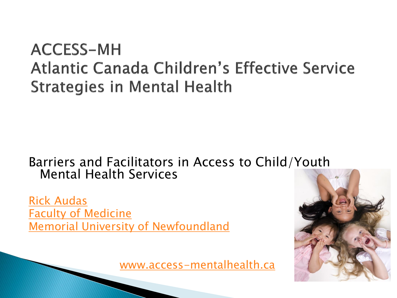#### **ACCESS-MH** Atlantic Canada Children's Effective Service **Strategies in Mental Health**

#### Barriers and Facilitators in Access to Child/Youth Mental Health Services

[Rick Audas](http://www.access-mentalhealth.ca/) [Faculty of Medicine](http://www.access-mentalhealth.ca/) [Memorial University of Newfoundland](http://www.access-mentalhealth.ca/)

[www.access-mentalhealth.ca](http://www.access-mentalhealth.ca/)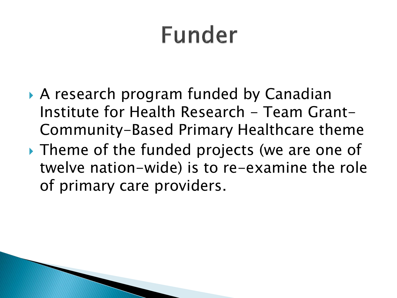## Funder

- A research program funded by Canadian Institute for Health Research - Team Grant-Community-Based Primary Healthcare theme
- If Theme of the funded projects (we are one of twelve nation-wide) is to re-examine the role of primary care providers.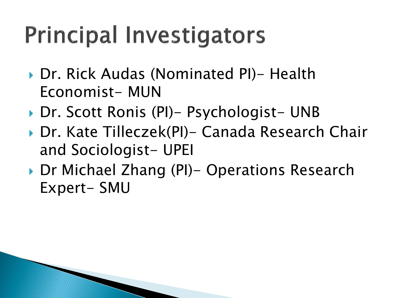## **Principal Investigators**

- ▶ Dr. Rick Audas (Nominated PI)- Health Economist- MUN
- ▶ Dr. Scott Ronis (PI)- Psychologist- UNB
- ▶ Dr. Kate Tilleczek(PI)- Canada Research Chair and Sociologist- UPEI
- ▶ Dr Michael Zhang (PI)– Operations Research Expert- SMU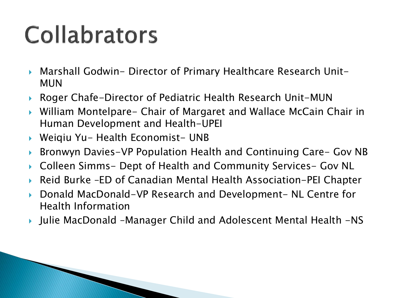## Collabrators

- Marshall Godwin- Director of Primary Healthcare Research Unit-MUN
- Roger Chafe-Director of Pediatric Health Research Unit-MUN
- William Montelpare- Chair of Margaret and Wallace McCain Chair in Human Development and Health-UPEI
- ▶ Weiqiu Yu- Health Economist- UNB
- ▶ Bronwyn Davies-VP Population Health and Continuing Care- Gov NB
- Colleen Simms- Dept of Health and Community Services- Gov NL
- Reid Burke –ED of Canadian Mental Health Association-PEI Chapter
- ▶ Donald MacDonald-VP Research and Development- NL Centre for Health Information
- Julie MacDonald –Manager Child and Adolescent Mental Health -NS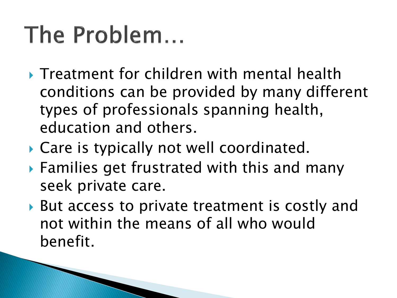#### The Problem...

- **Treatment for children with mental health** conditions can be provided by many different types of professionals spanning health, education and others.
- Care is typically not well coordinated.
- Families get frustrated with this and many seek private care.
- ▶ But access to private treatment is costly and not within the means of all who would benefit.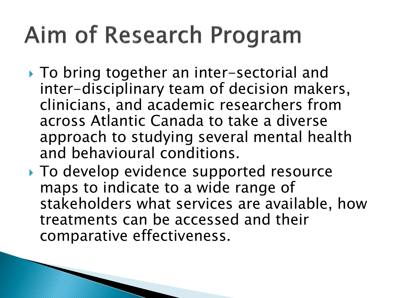#### Aim of Research Program

- ▶ To bring together an inter-sectorial and inter-disciplinary team of decision makers, clinicians, and academic researchers from across Atlantic Canada to take a diverse approach to studying several mental health and behavioural conditions.
- ▶ To develop evidence supported resource maps to indicate to a wide range of stakeholders what services are available, how treatments can be accessed and their comparative effectiveness.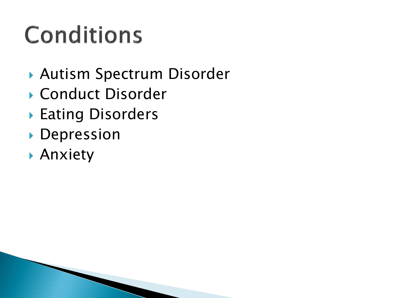# **Conditions**

- Autism Spectrum Disorder
- ▶ Conduct Disorder
- ▶ Eating Disorders
- Depression
- Anxiety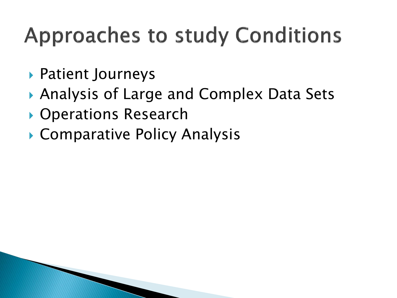#### **Approaches to study Conditions**

- Patient Journeys
- Analysis of Large and Complex Data Sets
- ▶ Operations Research
- ▶ Comparative Policy Analysis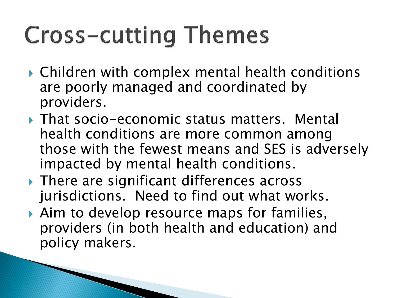## **Cross-cutting Themes**

- Children with complex mental health conditions are poorly managed and coordinated by providers.
- ▶ That socio-economic status matters. Mental health conditions are more common among those with the fewest means and SES is adversely impacted by mental health conditions.
- ▶ There are significant differences across jurisdictions. Need to find out what works.
- ▶ Aim to develop resource maps for families, providers (in both health and education) and policy makers.

**CONTRACTOR**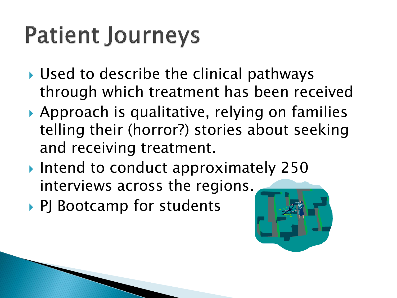#### **Patient Journeys**

- ▶ Used to describe the clinical pathways through which treatment has been received
- ▶ Approach is qualitative, relying on families telling their (horror?) stories about seeking and receiving treatment.
- Intend to conduct approximately 250 interviews across the regions.
- ▶ PJ Bootcamp for students

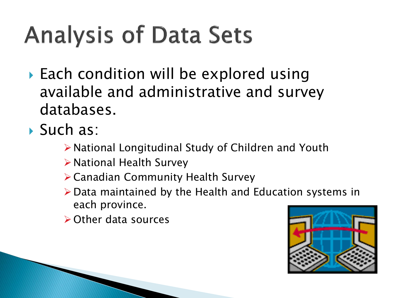# **Analysis of Data Sets**

- ▶ Each condition will be explored using available and administrative and survey databases.
- ▶ Such as:
	- National Longitudinal Study of Children and Youth
	- National Health Survey
	- Canadian Community Health Survey
	- $\triangleright$  Data maintained by the Health and Education systems in each province.
	- **≻Other data sources**

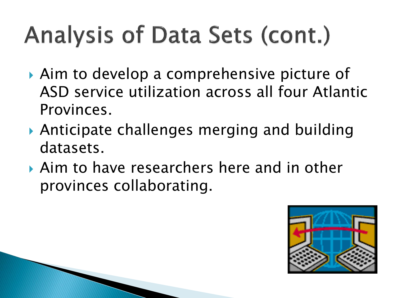# **Analysis of Data Sets (cont.)**

- ▶ Aim to develop a comprehensive picture of ASD service utilization across all four Atlantic Provinces.
- Anticipate challenges merging and building datasets.
- Aim to have researchers here and in other provinces collaborating.

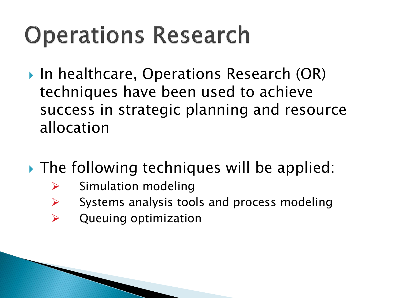#### **Operations Research**

- ▶ In healthcare, Operations Research (OR) techniques have been used to achieve success in strategic planning and resource allocation
- ▶ The following techniques will be applied:
	- $\triangleright$  Simulation modeling
	- $\triangleright$  Systems analysis tools and process modeling
	- $\triangleright$  Queuing optimization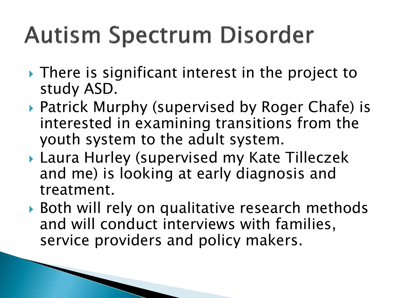## **Autism Spectrum Disorder**

- **► There is significant interest in the project to** study ASD.
- ▶ Patrick Murphy (supervised by Roger Chafe) is interested in examining transitions from the youth system to the adult system.
- Laura Hurley (supervised my Kate Tilleczek and me) is looking at early diagnosis and treatment.
- ▶ Both will rely on qualitative research methods and will conduct interviews with families, service providers and policy makers.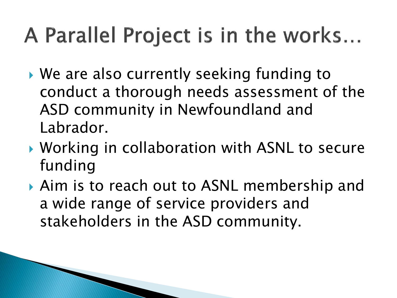#### A Parallel Project is in the works...

- We are also currently seeking funding to conduct a thorough needs assessment of the ASD community in Newfoundland and Labrador.
- ▶ Working in collaboration with ASNL to secure funding
- **Aim is to reach out to ASNL membership and** a wide range of service providers and stakeholders in the ASD community.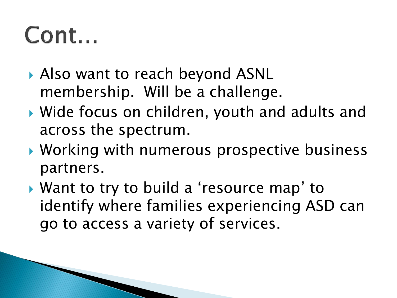#### Cont...

- ▶ Also want to reach beyond ASNL membership. Will be a challenge.
- ▶ Wide focus on children, youth and adults and across the spectrum.
- ▶ Working with numerous prospective business partners.
- ▶ Want to try to build a 'resource map' to identify where families experiencing ASD can go to access a variety of services.